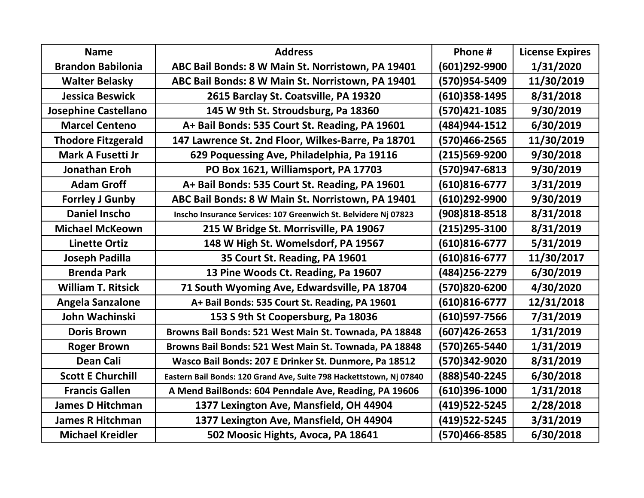| <b>Name</b>                 | <b>Address</b>                                                      | Phone #           | <b>License Expires</b> |
|-----------------------------|---------------------------------------------------------------------|-------------------|------------------------|
| <b>Brandon Babilonia</b>    | ABC Bail Bonds: 8 W Main St. Norristown, PA 19401                   | (601)292-9900     | 1/31/2020              |
| <b>Walter Belasky</b>       | ABC Bail Bonds: 8 W Main St. Norristown, PA 19401                   | (570)954-5409     | 11/30/2019             |
| <b>Jessica Beswick</b>      | 2615 Barclay St. Coatsville, PA 19320                               | (610)358-1495     | 8/31/2018              |
| <b>Josephine Castellano</b> | 145 W 9th St. Stroudsburg, Pa 18360                                 | (570)421-1085     | 9/30/2019              |
| <b>Marcel Centeno</b>       | A+ Bail Bonds: 535 Court St. Reading, PA 19601                      | (484)944-1512     | 6/30/2019              |
| <b>Thodore Fitzgerald</b>   | 147 Lawrence St. 2nd Floor, Wilkes-Barre, Pa 18701                  | (570)466-2565     | 11/30/2019             |
| <b>Mark A Fusetti Jr</b>    | 629 Poquessing Ave, Philadelphia, Pa 19116                          | (215)569-9200     | 9/30/2018              |
| Jonathan Eroh               | PO Box 1621, Williamsport, PA 17703                                 | (570)947-6813     | 9/30/2019              |
| <b>Adam Groff</b>           | A+ Bail Bonds: 535 Court St. Reading, PA 19601                      | $(610)816 - 6777$ | 3/31/2019              |
| <b>Forrley J Gunby</b>      | ABC Bail Bonds: 8 W Main St. Norristown, PA 19401                   | (610)292-9900     | 9/30/2019              |
| <b>Daniel Inscho</b>        | Inscho Insurance Services: 107 Greenwich St. Belvidere Nj 07823     | (908)818-8518     | 8/31/2018              |
| <b>Michael McKeown</b>      | 215 W Bridge St. Morrisville, PA 19067                              | (215)295-3100     | 8/31/2019              |
| <b>Linette Ortiz</b>        | 148 W High St. Womelsdorf, PA 19567                                 | $(610)816 - 6777$ | 5/31/2019              |
| <b>Joseph Padilla</b>       | 35 Court St. Reading, PA 19601                                      | (610)816-6777     | 11/30/2017             |
| <b>Brenda Park</b>          | 13 Pine Woods Ct. Reading, Pa 19607                                 | (484) 256-2279    | 6/30/2019              |
| <b>William T. Ritsick</b>   | 71 South Wyoming Ave, Edwardsville, PA 18704                        | (570)820-6200     | 4/30/2020              |
| <b>Angela Sanzalone</b>     | A+ Bail Bonds: 535 Court St. Reading, PA 19601                      | (610)816-6777     | 12/31/2018             |
| John Wachinski              | 153 S 9th St Coopersburg, Pa 18036                                  | (610)597-7566     | 7/31/2019              |
| <b>Doris Brown</b>          | Browns Bail Bonds: 521 West Main St. Townada, PA 18848              | $(607)426 - 2653$ | 1/31/2019              |
| <b>Roger Brown</b>          | Browns Bail Bonds: 521 West Main St. Townada, PA 18848              | (570)265-5440     | 1/31/2019              |
| <b>Dean Cali</b>            | Wasco Bail Bonds: 207 E Drinker St. Dunmore, Pa 18512               | (570)342-9020     | 8/31/2019              |
| <b>Scott E Churchill</b>    | Eastern Bail Bonds: 120 Grand Ave, Suite 798 Hackettstown, Nj 07840 | (888) 540-2245    | 6/30/2018              |
| <b>Francis Gallen</b>       | A Mend BailBonds: 604 Penndale Ave, Reading, PA 19606               | (610)396-1000     | 1/31/2018              |
| <b>James D Hitchman</b>     | 1377 Lexington Ave, Mansfield, OH 44904                             | (419)522-5245     | 2/28/2018              |
| <b>James R Hitchman</b>     | 1377 Lexington Ave, Mansfield, OH 44904                             | (419)522-5245     | 3/31/2019              |
| <b>Michael Kreidler</b>     | 502 Moosic Hights, Avoca, PA 18641                                  | (570)466-8585     | 6/30/2018              |